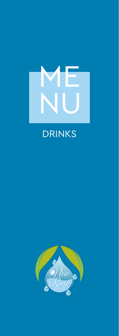

# DRINKS